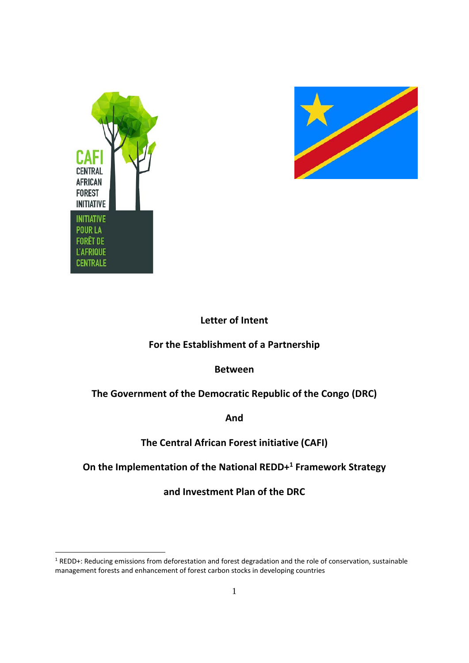



-

# **Letter of Intent**

# **For the Establishment of a Partnership**

# **Between**

# **The Government of the Democratic Republic of the Congo (DRC)**

**And**

# **The Central African Forest initiative (CAFI)**

# **On the Implementation of the National REDD+1 Framework Strategy**

**and Investment Plan of the DRC** 

<sup>1</sup> REDD+: Reducing emissions from deforestation and forest degradation and the role of conservation, sustainable management forests and enhancement of forest carbon stocks in developing countries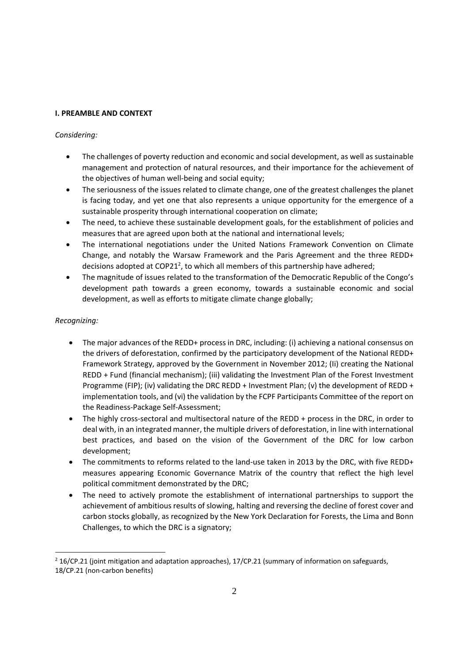# **I. PREAMBLE AND CONTEXT**

# *Considering:*

- The challenges of poverty reduction and economic and social development, as well as sustainable management and protection of natural resources, and their importance for the achievement of the objectives of human well‐being and social equity;
- The seriousness of the issues related to climate change, one of the greatest challenges the planet is facing today, and yet one that also represents a unique opportunity for the emergence of a sustainable prosperity through international cooperation on climate;
- The need, to achieve these sustainable development goals, for the establishment of policies and measures that are agreed upon both at the national and international levels;
- The international negotiations under the United Nations Framework Convention on Climate Change, and notably the Warsaw Framework and the Paris Agreement and the three REDD+ decisions adopted at COP21<sup>2</sup>, to which all members of this partnership have adhered;
- The magnitude of issues related to the transformation of the Democratic Republic of the Congo's development path towards a green economy, towards a sustainable economic and social development, as well as efforts to mitigate climate change globally;

# *Recognizing:*

-

- The major advances of the REDD+ process in DRC, including: (i) achieving a national consensus on the drivers of deforestation, confirmed by the participatory development of the National REDD+ Framework Strategy, approved by the Government in November 2012; (Ii) creating the National REDD + Fund (financial mechanism); (iii) validating the Investment Plan of the Forest Investment Programme (FIP); (iv) validating the DRC REDD + Investment Plan; (v) the development of REDD + implementation tools, and (vi) the validation by the FCPF Participants Committee of the report on the Readiness‐Package Self‐Assessment;
- The highly cross-sectoral and multisectoral nature of the REDD + process in the DRC, in order to deal with, in an integrated manner, the multiple drivers of deforestation, in line with international best practices, and based on the vision of the Government of the DRC for low carbon development;
- The commitments to reforms related to the land‐use taken in 2013 by the DRC, with five REDD+ measures appearing Economic Governance Matrix of the country that reflect the high level political commitment demonstrated by the DRC;
- The need to actively promote the establishment of international partnerships to support the achievement of ambitious results of slowing, halting and reversing the decline of forest cover and carbon stocks globally, as recognized by the New York Declaration for Forests, the Lima and Bonn Challenges, to which the DRC is a signatory;

 $2$  16/CP.21 (joint mitigation and adaptation approaches), 17/CP.21 (summary of information on safeguards, 18/CP.21 (non-carbon benefits)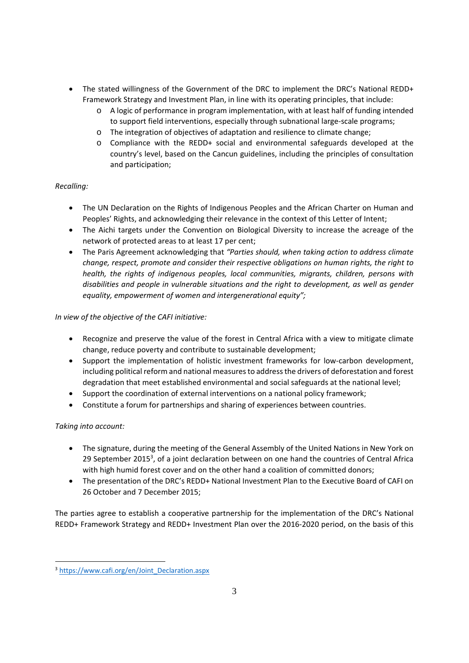- The stated willingness of the Government of the DRC to implement the DRC's National REDD+ Framework Strategy and Investment Plan, in line with its operating principles, that include:
	- o A logic of performance in program implementation, with at least half of funding intended to support field interventions, especially through subnational large-scale programs;
	- o The integration of objectives of adaptation and resilience to climate change;
	- o Compliance with the REDD+ social and environmental safeguards developed at the country's level, based on the Cancun guidelines, including the principles of consultation and participation;

# *Recalling:*

- The UN Declaration on the Rights of Indigenous Peoples and the African Charter on Human and Peoples' Rights, and acknowledging their relevance in the context of this Letter of Intent;
- The Aichi targets under the Convention on Biological Diversity to increase the acreage of the network of protected areas to at least 17 per cent;
- The Paris Agreement acknowledging that *"Parties should, when taking action to address climate change, respect, promote and consider their respective obligations on human rights, the right to health, the rights of indigenous peoples, local communities, migrants, children, persons with disabilities and people in vulnerable situations and the right to development, as well as gender equality, empowerment of women and intergenerational equity";*

*In view of the objective of the CAFI initiative:*

- Recognize and preserve the value of the forest in Central Africa with a view to mitigate climate change, reduce poverty and contribute to sustainable development;
- Support the implementation of holistic investment frameworks for low-carbon development, including political reform and national measuresto addressthe drivers of deforestation and forest degradation that meet established environmental and social safeguards at the national level;
- Support the coordination of external interventions on a national policy framework;
- Constitute a forum for partnerships and sharing of experiences between countries.

# *Taking into account:*

-

- The signature, during the meeting of the General Assembly of the United Nations in New York on 29 September 2015<sup>3</sup>, of a joint declaration between on one hand the countries of Central Africa with high humid forest cover and on the other hand a coalition of committed donors;
- The presentation of the DRC's REDD+ National Investment Plan to the Executive Board of CAFI on 26 October and 7 December 2015;

The parties agree to establish a cooperative partnership for the implementation of the DRC's National REDD+ Framework Strategy and REDD+ Investment Plan over the 2016‐2020 period, on the basis of this

<sup>3</sup> https://www.cafi.org/en/Joint\_Declaration.aspx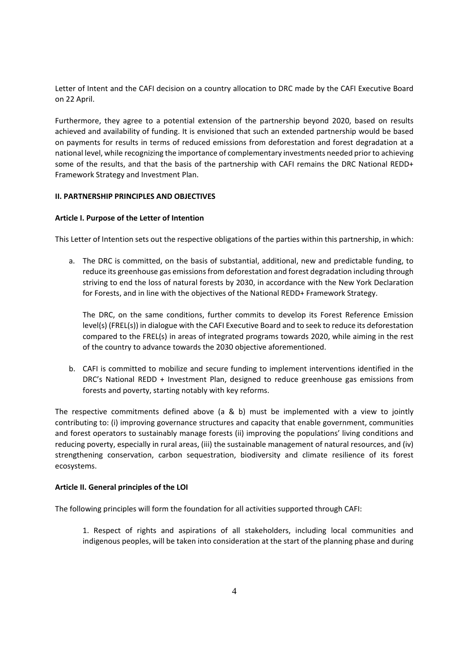Letter of Intent and the CAFI decision on a country allocation to DRC made by the CAFI Executive Board on 22 April.

Furthermore, they agree to a potential extension of the partnership beyond 2020, based on results achieved and availability of funding. It is envisioned that such an extended partnership would be based on payments for results in terms of reduced emissions from deforestation and forest degradation at a national level, while recognizing the importance of complementary investments needed prior to achieving some of the results, and that the basis of the partnership with CAFI remains the DRC National REDD+ Framework Strategy and Investment Plan.

### **II. PARTNERSHIP PRINCIPLES AND OBJECTIVES**

# **Article I. Purpose of the Letter of Intention**

This Letter of Intention sets out the respective obligations of the parties within this partnership, in which:

a. The DRC is committed, on the basis of substantial, additional, new and predictable funding, to reduce its greenhouse gas emissions from deforestation and forest degradation including through striving to end the loss of natural forests by 2030, in accordance with the New York Declaration for Forests, and in line with the objectives of the National REDD+ Framework Strategy.

The DRC, on the same conditions, further commits to develop its Forest Reference Emission level(s) (FREL(s)) in dialogue with the CAFI Executive Board and to seek to reduce its deforestation compared to the FREL(s) in areas of integrated programs towards 2020, while aiming in the rest of the country to advance towards the 2030 objective aforementioned.

b. CAFI is committed to mobilize and secure funding to implement interventions identified in the DRC's National REDD + Investment Plan, designed to reduce greenhouse gas emissions from forests and poverty, starting notably with key reforms.

The respective commitments defined above (a & b) must be implemented with a view to jointly contributing to: (i) improving governance structures and capacity that enable government, communities and forest operators to sustainably manage forests (ii) improving the populations' living conditions and reducing poverty, especially in rural areas, (iii) the sustainable management of natural resources, and (iv) strengthening conservation, carbon sequestration, biodiversity and climate resilience of its forest ecosystems.

### **Article II. General principles of the LOI**

The following principles will form the foundation for all activities supported through CAFI:

1. Respect of rights and aspirations of all stakeholders, including local communities and indigenous peoples, will be taken into consideration at the start of the planning phase and during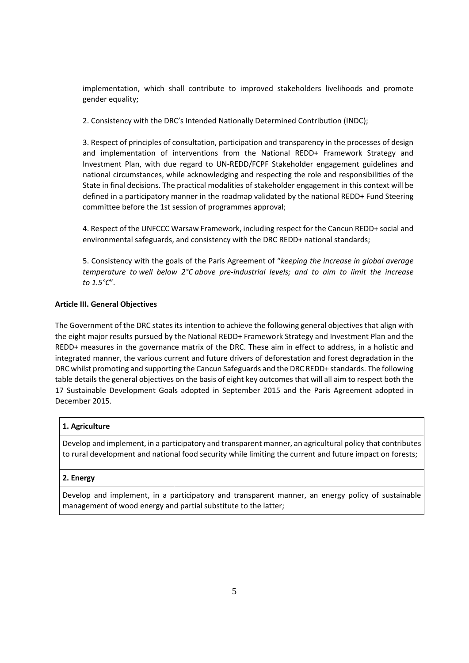implementation, which shall contribute to improved stakeholders livelihoods and promote gender equality;

2. Consistency with the DRC's Intended Nationally Determined Contribution (INDC);

3. Respect of principles of consultation, participation and transparency in the processes of design and implementation of interventions from the National REDD+ Framework Strategy and Investment Plan, with due regard to UN‐REDD/FCPF Stakeholder engagement guidelines and national circumstances, while acknowledging and respecting the role and responsibilities of the State in final decisions. The practical modalities of stakeholder engagement in this context will be defined in a participatory manner in the roadmap validated by the national REDD+ Fund Steering committee before the 1st session of programmes approval;

4. Respect of the UNFCCC Warsaw Framework, including respect for the Cancun REDD+ social and environmental safeguards, and consistency with the DRC REDD+ national standards;

5. Consistency with the goals of the Paris Agreement of "*keeping the increase in global average temperature to well below 2°C above pre‐industrial levels; and to aim to limit the increase to 1.5°C*".

# **Article III. General Objectives**

The Government of the DRC states its intention to achieve the following general objectives that align with the eight major results pursued by the National REDD+ Framework Strategy and Investment Plan and the REDD+ measures in the governance matrix of the DRC. These aim in effect to address, in a holistic and integrated manner, the various current and future drivers of deforestation and forest degradation in the DRC whilst promoting and supporting the Cancun Safeguards and the DRC REDD+ standards. The following table details the general objectives on the basis of eight key outcomes that will all aim to respect both the 17 Sustainable Development Goals adopted in September 2015 and the Paris Agreement adopted in December 2015.

| 1. Agriculture                                                                                            |  |
|-----------------------------------------------------------------------------------------------------------|--|
| Develop and implement, in a participatory and transparent manner, an agricultural policy that contributes |  |
| to rural development and national food security while limiting the current and future impact on forests;  |  |

### **2. Energy**

Develop and implement, in a participatory and transparent manner, an energy policy of sustainable management of wood energy and partial substitute to the latter;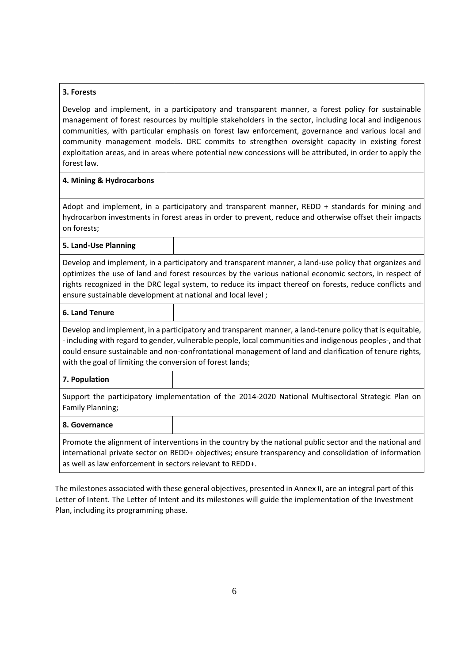| 3. Forests                                                                                                                                                                                                                                                                                                                                                                                                                                                                                                                                   |  |  |
|----------------------------------------------------------------------------------------------------------------------------------------------------------------------------------------------------------------------------------------------------------------------------------------------------------------------------------------------------------------------------------------------------------------------------------------------------------------------------------------------------------------------------------------------|--|--|
| Develop and implement, in a participatory and transparent manner, a forest policy for sustainable<br>management of forest resources by multiple stakeholders in the sector, including local and indigenous<br>communities, with particular emphasis on forest law enforcement, governance and various local and<br>community management models. DRC commits to strengthen oversight capacity in existing forest<br>exploitation areas, and in areas where potential new concessions will be attributed, in order to apply the<br>forest law. |  |  |
| 4. Mining & Hydrocarbons                                                                                                                                                                                                                                                                                                                                                                                                                                                                                                                     |  |  |
| Adopt and implement, in a participatory and transparent manner, REDD + standards for mining and<br>hydrocarbon investments in forest areas in order to prevent, reduce and otherwise offset their impacts<br>on forests;                                                                                                                                                                                                                                                                                                                     |  |  |
| 5. Land-Use Planning                                                                                                                                                                                                                                                                                                                                                                                                                                                                                                                         |  |  |
| Develop and implement, in a participatory and transparent manner, a land-use policy that organizes and<br>optimizes the use of land and forest resources by the various national economic sectors, in respect of<br>rights recognized in the DRC legal system, to reduce its impact thereof on forests, reduce conflicts and<br>ensure sustainable development at national and local level;                                                                                                                                                  |  |  |
| <b>6. Land Tenure</b>                                                                                                                                                                                                                                                                                                                                                                                                                                                                                                                        |  |  |
| Develop and implement, in a participatory and transparent manner, a land-tenure policy that is equitable,<br>- including with regard to gender, vulnerable people, local communities and indigenous peoples-, and that<br>could ensure sustainable and non-confrontational management of land and clarification of tenure rights,<br>with the goal of limiting the conversion of forest lands;                                                                                                                                               |  |  |
| 7. Population                                                                                                                                                                                                                                                                                                                                                                                                                                                                                                                                |  |  |
| Support the participatory implementation of the 2014-2020 National Multisectoral Strategic Plan on<br>Family Planning;                                                                                                                                                                                                                                                                                                                                                                                                                       |  |  |
| 8. Governance                                                                                                                                                                                                                                                                                                                                                                                                                                                                                                                                |  |  |
| Promote the alignment of interventions in the country by the national public sector and the national and<br>international private sector on REDD+ objectives; ensure transparency and consolidation of information<br>as well as law enforcement in sectors relevant to REDD+.                                                                                                                                                                                                                                                               |  |  |

The milestones associated with these general objectives, presented in Annex II, are an integral part of this Letter of Intent. The Letter of Intent and its milestones will guide the implementation of the Investment Plan, including its programming phase.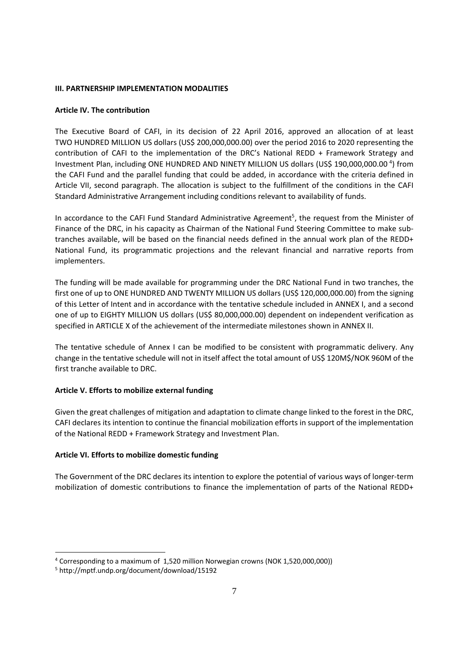## **III. PARTNERSHIP IMPLEMENTATION MODALITIES**

## **Article IV. The contribution**

The Executive Board of CAFI, in its decision of 22 April 2016, approved an allocation of at least TWO HUNDRED MILLION US dollars (US\$ 200,000,000.00) over the period 2016 to 2020 representing the contribution of CAFI to the implementation of the DRC's National REDD + Framework Strategy and Investment Plan, including ONE HUNDRED AND NINETY MILLION US dollars (US\$ 190,000,000.00<sup>4</sup>) from the CAFI Fund and the parallel funding that could be added, in accordance with the criteria defined in Article VII, second paragraph. The allocation is subject to the fulfillment of the conditions in the CAFI Standard Administrative Arrangement including conditions relevant to availability of funds.

In accordance to the CAFI Fund Standard Administrative Agreement<sup>5</sup>, the request from the Minister of Finance of the DRC, in his capacity as Chairman of the National Fund Steering Committee to make sub‐ tranches available, will be based on the financial needs defined in the annual work plan of the REDD+ National Fund, its programmatic projections and the relevant financial and narrative reports from implementers.

The funding will be made available for programming under the DRC National Fund in two tranches, the first one of up to ONE HUNDRED AND TWENTY MILLION US dollars (US\$ 120,000,000.00) from the signing of this Letter of Intent and in accordance with the tentative schedule included in ANNEX I, and a second one of up to EIGHTY MILLION US dollars (US\$ 80,000,000.00) dependent on independent verification as specified in ARTICLE X of the achievement of the intermediate milestones shown in ANNEX II.

The tentative schedule of Annex I can be modified to be consistent with programmatic delivery. Any change in the tentative schedule will not in itself affect the total amount of US\$ 120M\$/NOK 960M of the first tranche available to DRC.

# **Article V. Efforts to mobilize external funding**

Given the great challenges of mitigation and adaptation to climate change linked to the forest in the DRC, CAFI declares its intention to continue the financial mobilization efforts in support of the implementation of the National REDD + Framework Strategy and Investment Plan.

# **Article VI. Efforts to mobilize domestic funding**

The Government of the DRC declares its intention to explore the potential of various ways of longer‐term mobilization of domestic contributions to finance the implementation of parts of the National REDD+

-

<sup>4</sup> Corresponding to a maximum of 1,520 million Norwegian crowns (NOK 1,520,000,000))

<sup>5</sup> http://mptf.undp.org/document/download/15192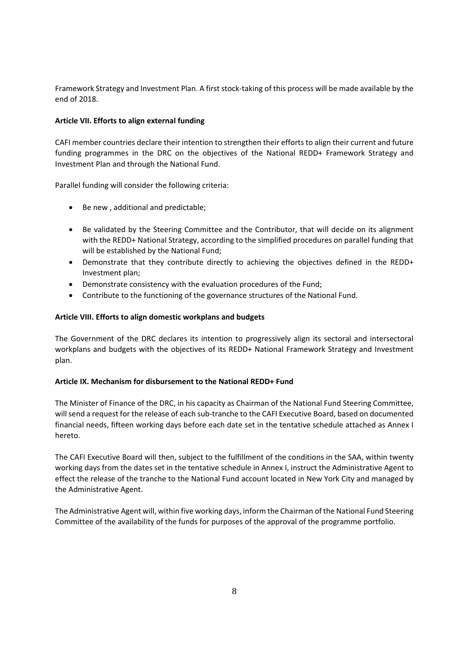Framework Strategy and Investment Plan. A first stock‐taking of this process will be made available by the end of 2018.

# **Article VII. Efforts to align external funding**

CAFI member countries declare their intention to strengthen their efforts to align their current and future funding programmes in the DRC on the objectives of the National REDD+ Framework Strategy and Investment Plan and through the National Fund.

Parallel funding will consider the following criteria:

- Be new , additional and predictable;
- Be validated by the Steering Committee and the Contributor, that will decide on its alignment with the REDD+ National Strategy, according to the simplified procedures on parallel funding that will be established by the National Fund;
- Demonstrate that they contribute directly to achieving the objectives defined in the REDD+ Investment plan;
- Demonstrate consistency with the evaluation procedures of the Fund;
- Contribute to the functioning of the governance structures of the National Fund.

# **Article VIII. Efforts to align domestic workplans and budgets**

The Government of the DRC declares its intention to progressively align its sectoral and intersectoral workplans and budgets with the objectives of its REDD+ National Framework Strategy and Investment plan.

# **Article IX. Mechanism for disbursement to the National REDD+ Fund**

The Minister of Finance of the DRC, in his capacity as Chairman of the National Fund Steering Committee, will send a request for the release of each sub-tranche to the CAFI Executive Board, based on documented financial needs, fifteen working days before each date set in the tentative schedule attached as Annex I hereto.

The CAFI Executive Board will then, subject to the fulfillment of the conditions in the SAA, within twenty working days from the dates set in the tentative schedule in Annex I, instruct the Administrative Agent to effect the release of the tranche to the National Fund account located in New York City and managed by the Administrative Agent.

The Administrative Agent will, within five working days, inform the Chairman of the National Fund Steering Committee of the availability of the funds for purposes of the approval of the programme portfolio.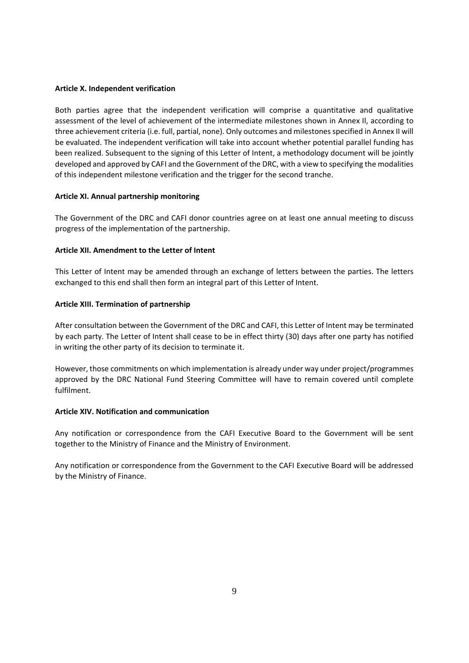#### **Article X. Independent verification**

Both parties agree that the independent verification will comprise a quantitative and qualitative assessment of the level of achievement of the intermediate milestones shown in Annex Il, according to three achievement criteria (i.e. full, partial, none). Only outcomes and milestonesspecified in Annex II will be evaluated. The independent verification will take into account whether potential parallel funding has been realized. Subsequent to the signing of this Letter of Intent, a methodology document will be jointly developed and approved by CAFI and the Government of the DRC, with a view to specifying the modalities of this independent milestone verification and the trigger for the second tranche.

### **Article XI. Annual partnership monitoring**

The Government of the DRC and CAFI donor countries agree on at least one annual meeting to discuss progress of the implementation of the partnership.

### **Article XII. Amendment to the Letter of Intent**

This Letter of Intent may be amended through an exchange of letters between the parties. The letters exchanged to this end shall then form an integral part of this Letter of Intent.

# **Article XIII. Termination of partnership**

After consultation between the Government of the DRC and CAFI, this Letter of Intent may be terminated by each party. The Letter of Intent shall cease to be in effect thirty (30) days after one party has notified in writing the other party of its decision to terminate it.

However, those commitments on which implementation is already under way under project/programmes approved by the DRC National Fund Steering Committee will have to remain covered until complete fulfilment.

## **Article XIV. Notification and communication**

Any notification or correspondence from the CAFI Executive Board to the Government will be sent together to the Ministry of Finance and the Ministry of Environment.

Any notification or correspondence from the Government to the CAFI Executive Board will be addressed by the Ministry of Finance.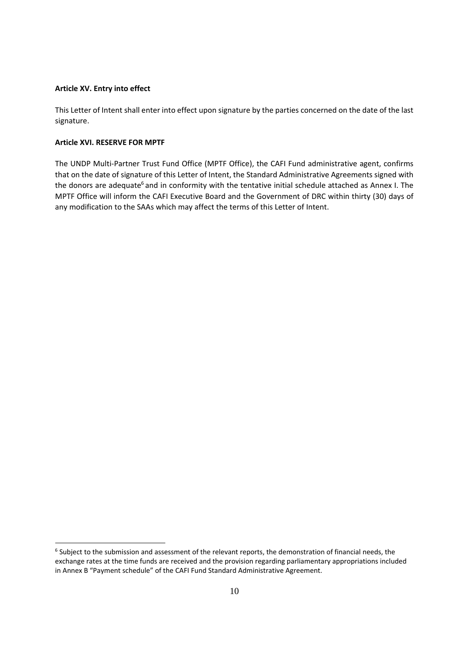#### **Article XV. Entry into effect**

This Letter of Intent shall enter into effect upon signature by the parties concerned on the date of the last signature.

## **Article XVI. RESERVE FOR MPTF**

1

The UNDP Multi‐Partner Trust Fund Office (MPTF Office), the CAFI Fund administrative agent, confirms that on the date of signature of this Letter of Intent, the Standard Administrative Agreements signed with the donors are adequate<sup>6</sup> and in conformity with the tentative initial schedule attached as Annex I. The MPTF Office will inform the CAFI Executive Board and the Government of DRC within thirty (30) days of any modification to the SAAs which may affect the terms of this Letter of Intent.

<sup>6</sup> Subject to the submission and assessment of the relevant reports, the demonstration of financial needs, the exchange rates at the time funds are received and the provision regarding parliamentary appropriations included in Annex B "Payment schedule" of the CAFI Fund Standard Administrative Agreement.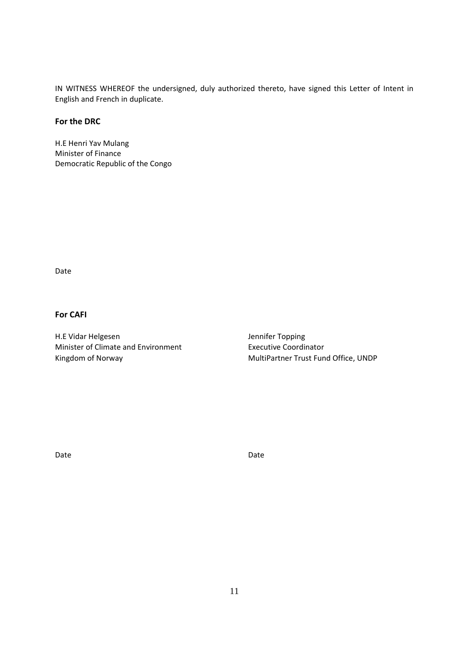IN WITNESS WHEREOF the undersigned, duly authorized thereto, have signed this Letter of Intent in English and French in duplicate.

# **For the DRC**

H.E Henri Yav Mulang Minister of Finance Democratic Republic of the Congo

Date

# **For CAFI**

H.E Vidar Helgesen Jennifer Topping Minister of Climate and Environment **Executive Coordinator** Kingdom of Norway **MultiPartner Trust Fund Office, UNDP** 

Date **Date** Date **Date** Date **Date**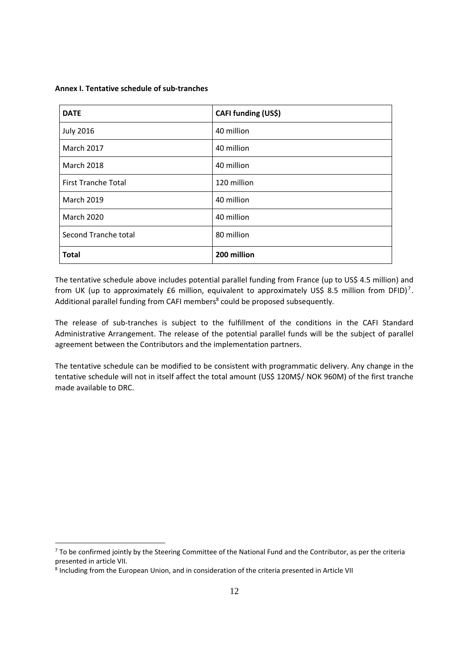**Annex I. Tentative schedule of sub‐tranches** 

| <b>DATE</b>                | CAFI funding (US\$) |
|----------------------------|---------------------|
| <b>July 2016</b>           | 40 million          |
| <b>March 2017</b>          | 40 million          |
| <b>March 2018</b>          | 40 million          |
| <b>First Tranche Total</b> | 120 million         |
| <b>March 2019</b>          | 40 million          |
| <b>March 2020</b>          | 40 million          |
| Second Tranche total       | 80 million          |
| <b>Total</b>               | 200 million         |

The tentative schedule above includes potential parallel funding from France (up to US\$ 4.5 million) and from UK (up to approximately £6 million, equivalent to approximately US\$ 8.5 million from DFID)<sup>7</sup>. Additional parallel funding from CAFI members<sup>8</sup> could be proposed subsequently.

The release of sub-tranches is subject to the fulfillment of the conditions in the CAFI Standard Administrative Arrangement. The release of the potential parallel funds will be the subject of parallel agreement between the Contributors and the implementation partners.

The tentative schedule can be modified to be consistent with programmatic delivery. Any change in the tentative schedule will not in itself affect the total amount (US\$ 120M\$/ NOK 960M) of the first tranche made available to DRC.

1

<sup>&</sup>lt;sup>7</sup> To be confirmed jointly by the Steering Committee of the National Fund and the Contributor, as per the criteria presented in article VII.

<sup>8</sup> Including from the European Union, and in consideration of the criteria presented in Article VII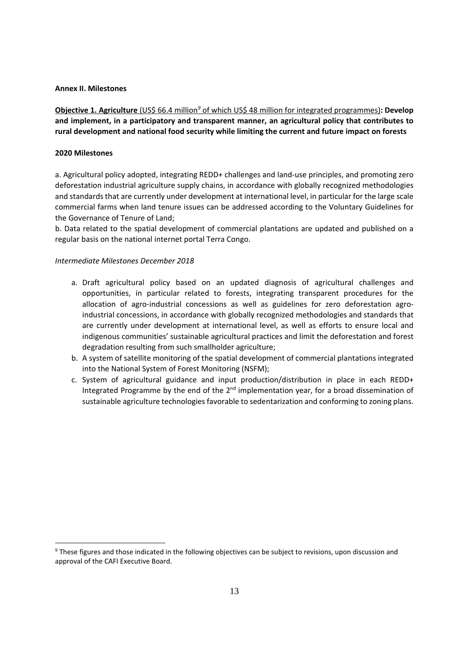#### **Annex II. Milestones**

**Objective 1. Agriculture** (US\$ 66.4 million*<sup>9</sup>* of which US\$ 48 million for integrated programmes)**: Develop and implement, in a participatory and transparent manner, an agricultural policy that contributes to rural development and national food security while limiting the current and future impact on forests**

### **2020 Milestones**

1

a. Agricultural policy adopted, integrating REDD+ challenges and land‐use principles, and promoting zero deforestation industrial agriculture supply chains, in accordance with globally recognized methodologies and standards that are currently under development at international level, in particular for the large scale commercial farms when land tenure issues can be addressed according to the Voluntary Guidelines for the Governance of Tenure of Land;

b. Data related to the spatial development of commercial plantations are updated and published on a regular basis on the national internet portal Terra Congo.

- a. Draft agricultural policy based on an updated diagnosis of agricultural challenges and opportunities, in particular related to forests, integrating transparent procedures for the allocation of agro-industrial concessions as well as guidelines for zero deforestation agroindustrial concessions, in accordance with globally recognized methodologies and standards that are currently under development at international level, as well as efforts to ensure local and indigenous communities' sustainable agricultural practices and limit the deforestation and forest degradation resulting from such smallholder agriculture;
- b. A system of satellite monitoring of the spatial development of commercial plantations integrated into the National System of Forest Monitoring (NSFM);
- c. System of agricultural guidance and input production/distribution in place in each REDD+ Integrated Programme by the end of the  $2<sup>nd</sup>$  implementation year, for a broad dissemination of sustainable agriculture technologies favorable to sedentarization and conforming to zoning plans.

<sup>9</sup> These figures and those indicated in the following objectives can be subject to revisions, upon discussion and approval of the CAFI Executive Board.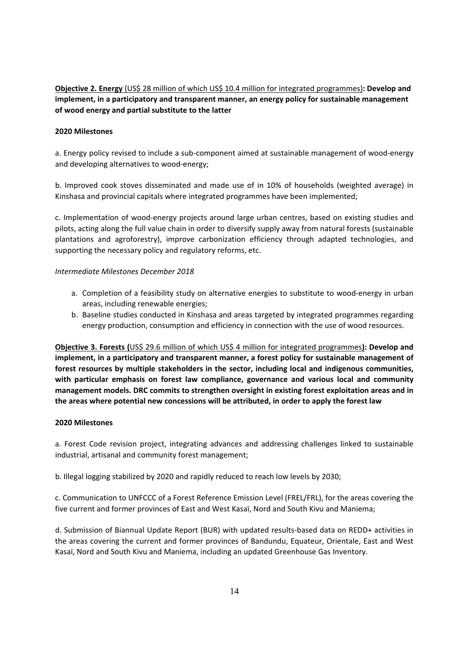**Objective 2. Energy** (US\$ 28 million of which US\$ 10.4 million for integrated programmes)**: Develop and implement, in a participatory and transparent manner, an energy policy for sustainable management of wood energy and partial substitute to the latter**

### **2020 Milestones**

a. Energy policy revised to include a sub-component aimed at sustainable management of wood-energy and developing alternatives to wood-energy;

b. Improved cook stoves disseminated and made use of in 10% of households (weighted average) in Kinshasa and provincial capitals where integrated programmes have been implemented;

c. Implementation of wood‐energy projects around large urban centres, based on existing studies and pilots, acting along the full value chain in order to diversify supply away from natural forests (sustainable plantations and agroforestry), improve carbonization efficiency through adapted technologies, and supporting the necessary policy and regulatory reforms, etc.

### *Intermediate Milestones December 2018*

- a. Completion of a feasibility study on alternative energies to substitute to wood-energy in urban areas, including renewable energies;
- b. Baseline studies conducted in Kinshasa and areas targeted by integrated programmes regarding energy production, consumption and efficiency in connection with the use of wood resources.

**Objective 3. Forests (**US\$ 29.6 million of which US\$ 4 million for integrated programmes**): Develop and implement, in a participatory and transparent manner, a forest policy for sustainable management of forest resources by multiple stakeholders in the sector, including local and indigenous communities, with particular emphasis on forest law compliance, governance and various local and community management models. DRC commits to strengthen oversight in existing forest exploitation areas and in the areas where potential new concessions will be attributed, in order to apply the forest law**

### **2020 Milestones**

a. Forest Code revision project, integrating advances and addressing challenges linked to sustainable industrial, artisanal and community forest management;

b. Illegal logging stabilized by 2020 and rapidly reduced to reach low levels by 2030;

c. Communication to UNFCCC of a Forest Reference Emission Level (FREL/FRL), for the areas covering the five current and former provinces of East and West Kasaï, Nord and South Kivu and Maniema;

d. Submission of Biannual Update Report (BUR) with updated results‐based data on REDD+ activities in the areas covering the current and former provinces of Bandundu, Equateur, Orientale, East and West Kasaï, Nord and South Kivu and Maniema, including an updated Greenhouse Gas Inventory.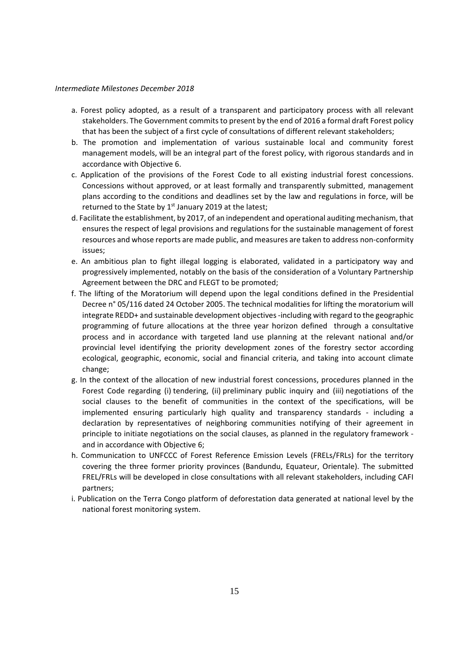- a. Forest policy adopted, as a result of a transparent and participatory process with all relevant stakeholders. The Government commits to present by the end of 2016 a formal draft Forest policy that has been the subject of a first cycle of consultations of different relevant stakeholders;
- b. The promotion and implementation of various sustainable local and community forest management models, will be an integral part of the forest policy, with rigorous standards and in accordance with Objective 6.
- c. Application of the provisions of the Forest Code to all existing industrial forest concessions. Concessions without approved, or at least formally and transparently submitted, management plans according to the conditions and deadlines set by the law and regulations in force, will be returned to the State by  $1<sup>st</sup>$  January 2019 at the latest;
- d. Facilitate the establishment, by 2017, of an independent and operational auditing mechanism, that ensures the respect of legal provisions and regulations for the sustainable management of forest resources and whose reports are made public, and measures are taken to address non‐conformity issues;
- e. An ambitious plan to fight illegal logging is elaborated, validated in a participatory way and progressively implemented, notably on the basis of the consideration of a Voluntary Partnership Agreement between the DRC and FLEGT to be promoted;
- f. The lifting of the Moratorium will depend upon the legal conditions defined in the Presidential Decree n° 05/116 dated 24 October 2005. The technical modalities for lifting the moratorium will integrate REDD+ and sustainable development objectives ‐including with regard to the geographic programming of future allocations at the three year horizon defined through a consultative process and in accordance with targeted land use planning at the relevant national and/or provincial level identifying the priority development zones of the forestry sector according ecological, geographic, economic, social and financial criteria, and taking into account climate change;
- g. In the context of the allocation of new industrial forest concessions, procedures planned in the Forest Code regarding (i) tendering, (ii) preliminary public inquiry and (iii) negotiations of the social clauses to the benefit of communities in the context of the specifications, will be implemented ensuring particularly high quality and transparency standards - including a declaration by representatives of neighboring communities notifying of their agreement in principle to initiate negotiations on the social clauses, as planned in the regulatory framework ‐ and in accordance with Objective 6;
- h. Communication to UNFCCC of Forest Reference Emission Levels (FRELs/FRLs) for the territory covering the three former priority provinces (Bandundu, Equateur, Orientale). The submitted FREL/FRLs will be developed in close consultations with all relevant stakeholders, including CAFI partners;
- i. Publication on the Terra Congo platform of deforestation data generated at national level by the national forest monitoring system.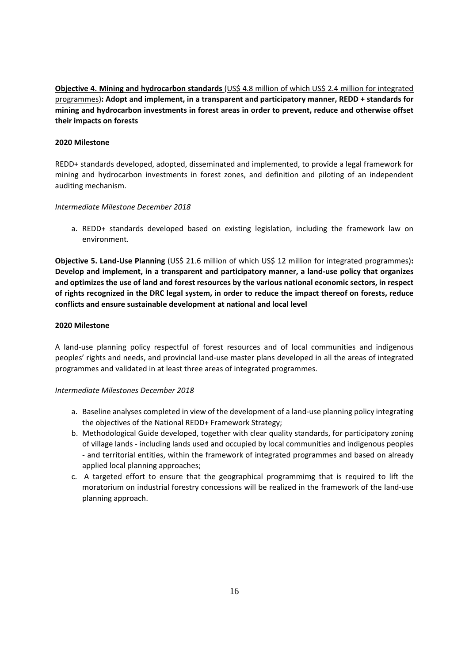**Objective 4. Mining and hydrocarbon standards** (US\$ 4.8 million of which US\$ 2.4 million for integrated programmes)**: Adopt and implement, in a transparent and participatory manner, REDD + standards for mining and hydrocarbon investments in forest areas in order to prevent, reduce and otherwise offset their impacts on forests**

# **2020 Milestone**

REDD+ standards developed, adopted, disseminated and implemented, to provide a legal framework for mining and hydrocarbon investments in forest zones, and definition and piloting of an independent auditing mechanism.

### *Intermediate Milestone December 2018*

a. REDD+ standards developed based on existing legislation, including the framework law on environment.

**Objective 5. Land‐Use Planning** (US\$ 21.6 million of which US\$ 12 million for integrated programmes)**: Develop and implement, in a transparent and participatory manner, a land‐use policy that organizes and optimizes the use of land and forest resources by the various national economic sectors, in respect** of rights recognized in the DRC legal system, in order to reduce the impact thereof on forests, reduce **conflicts and ensure sustainable development at national and local level**

# **2020 Milestone**

A land‐use planning policy respectful of forest resources and of local communities and indigenous peoples' rights and needs, and provincial land‐use master plans developed in all the areas of integrated programmes and validated in at least three areas of integrated programmes.

- a. Baseline analyses completed in view of the development of a land‐use planning policy integrating the objectives of the National REDD+ Framework Strategy;
- b. Methodological Guide developed, together with clear quality standards, for participatory zoning of village lands ‐ including lands used and occupied by local communities and indigenous peoples ‐ and territorial entities, within the framework of integrated programmes and based on already applied local planning approaches;
- c. A targeted effort to ensure that the geographical programmimg that is required to lift the moratorium on industrial forestry concessions will be realized in the framework of the land‐use planning approach.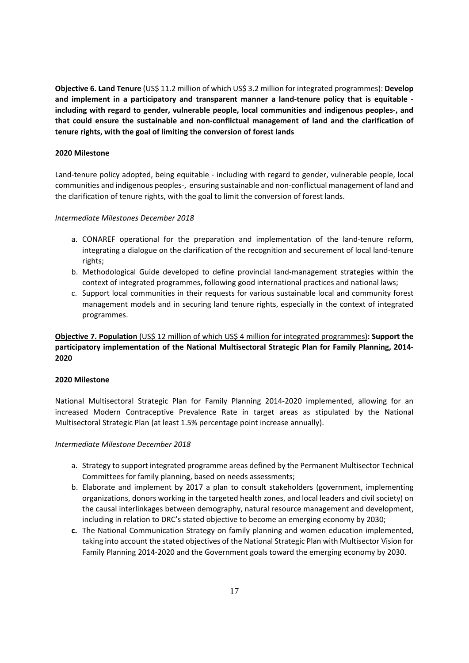**Objective 6. Land Tenure** (US\$ 11.2 million of which US\$ 3.2 million for integrated programmes): **Develop and implement in a participatory and transparent manner a land‐tenure policy that is equitable ‐ including with regard to gender, vulnerable people, local communities and indigenous peoples‐, and that could ensure the sustainable and non‐conflictual management of land and the clarification of tenure rights, with the goal of limiting the conversion of forest lands**

# **2020 Milestone**

Land-tenure policy adopted, being equitable - including with regard to gender, vulnerable people, local communities and indigenous peoples‐, ensuring sustainable and non‐conflictual management of land and the clarification of tenure rights, with the goal to limit the conversion of forest lands.

### *Intermediate Milestones December 2018*

- a. CONAREF operational for the preparation and implementation of the land-tenure reform, integrating a dialogue on the clarification of the recognition and securement of local land‐tenure rights;
- b. Methodological Guide developed to define provincial land‐management strategies within the context of integrated programmes, following good international practices and national laws;
- c. Support local communities in their requests for various sustainable local and community forest management models and in securing land tenure rights, especially in the context of integrated programmes.

**Objective 7. Population** (US\$ 12 million of which US\$ 4 million for integrated programmes)**: Support the participatory implementation of the National Multisectoral Strategic Plan for Family Planning, 2014‐ 2020**

### **2020 Milestone**

National Multisectoral Strategic Plan for Family Planning 2014‐2020 implemented, allowing for an increased Modern Contraceptive Prevalence Rate in target areas as stipulated by the National Multisectoral Strategic Plan (at least 1.5% percentage point increase annually).

- a. Strategy to support integrated programme areas defined by the Permanent Multisector Technical Committees for family planning, based on needs assessments;
- b. Elaborate and implement by 2017 a plan to consult stakeholders (government, implementing organizations, donors working in the targeted health zones, and local leaders and civil society) on the causal interlinkages between demography, natural resource management and development, including in relation to DRC's stated objective to become an emerging economy by 2030;
- **c.** The National Communication Strategy on family planning and women education implemented, taking into account the stated objectives of the National Strategic Plan with Multisector Vision for Family Planning 2014‐2020 and the Government goals toward the emerging economy by 2030.